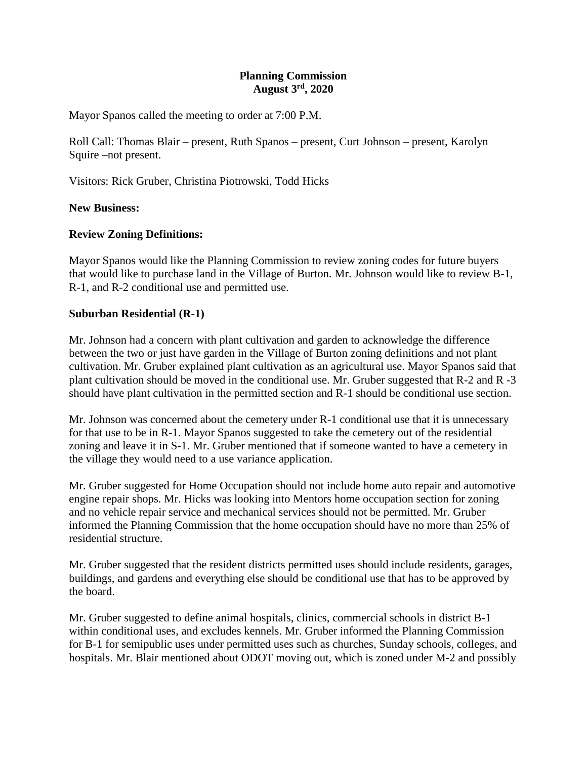## **Planning Commission August 3rd, 2020**

Mayor Spanos called the meeting to order at 7:00 P.M.

Roll Call: Thomas Blair – present, Ruth Spanos – present, Curt Johnson – present, Karolyn Squire –not present.

Visitors: Rick Gruber, Christina Piotrowski, Todd Hicks

## **New Business:**

## **Review Zoning Definitions:**

Mayor Spanos would like the Planning Commission to review zoning codes for future buyers that would like to purchase land in the Village of Burton. Mr. Johnson would like to review B-1, R-1, and R-2 conditional use and permitted use.

#### **Suburban Residential (R-1)**

Mr. Johnson had a concern with plant cultivation and garden to acknowledge the difference between the two or just have garden in the Village of Burton zoning definitions and not plant cultivation. Mr. Gruber explained plant cultivation as an agricultural use. Mayor Spanos said that plant cultivation should be moved in the conditional use. Mr. Gruber suggested that R-2 and R -3 should have plant cultivation in the permitted section and R-1 should be conditional use section.

Mr. Johnson was concerned about the cemetery under R-1 conditional use that it is unnecessary for that use to be in R-1. Mayor Spanos suggested to take the cemetery out of the residential zoning and leave it in S-1. Mr. Gruber mentioned that if someone wanted to have a cemetery in the village they would need to a use variance application.

Mr. Gruber suggested for Home Occupation should not include home auto repair and automotive engine repair shops. Mr. Hicks was looking into Mentors home occupation section for zoning and no vehicle repair service and mechanical services should not be permitted. Mr. Gruber informed the Planning Commission that the home occupation should have no more than 25% of residential structure.

Mr. Gruber suggested that the resident districts permitted uses should include residents, garages, buildings, and gardens and everything else should be conditional use that has to be approved by the board.

Mr. Gruber suggested to define animal hospitals, clinics, commercial schools in district B-1 within conditional uses, and excludes kennels. Mr. Gruber informed the Planning Commission for B-1 for semipublic uses under permitted uses such as churches, Sunday schools, colleges, and hospitals. Mr. Blair mentioned about ODOT moving out, which is zoned under M-2 and possibly